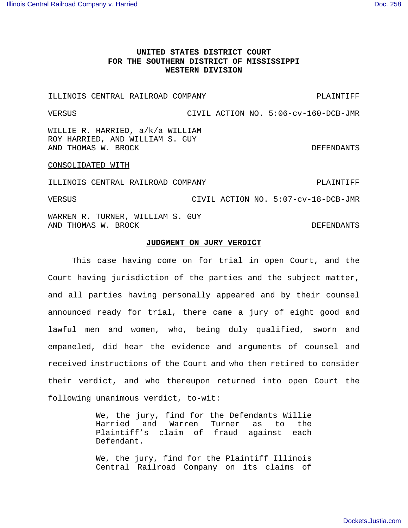## **UNITED STATES DISTRICT COURT FOR THE SOUTHERN DISTRICT OF MISSISSIPPI WESTERN DIVISION**

ILLINOIS CENTRAL RAILROAD COMPANY **EXAMPLE AND SUA PLAINTIFF** 

VERSUS CIVIL ACTION NO. 5:06-cv-160-DCB-JMR WILLIE R. HARRIED, a/k/a WILLIAM

ROY HARRIED, AND WILLIAM S. GUY AND THOMAS W. BROCK SERVICES AND THOMAS WE SERVE

## CONSOLIDATED WITH

ILLINOIS CENTRAL RAILROAD COMPANY **EXAMPLE AND SUBANY** PLAINTIFF VERSUS CIVIL ACTION NO. 5:07-cv-18-DCB-JMR WARREN R. TURNER, WILLIAM S. GUY AND THOMAS W. BROCK SERVICES AND THOMAS WE SERVE

## **JUDGMENT ON JURY VERDICT**

This case having come on for trial in open Court, and the Court having jurisdiction of the parties and the subject matter, and all parties having personally appeared and by their counsel announced ready for trial, there came a jury of eight good and lawful men and women, who, being duly qualified, sworn and empaneled, did hear the evidence and arguments of counsel and received instructions of the Court and who then retired to consider their verdict, and who thereupon returned into open Court the following unanimous verdict, to-wit:

> We, the jury, find for the Defendants Willie Harried and Warren Turner as to the Plaintiff's claim of fraud against each Defendant.

> We, the jury, find for the Plaintiff Illinois Central Railroad Company on its claims of